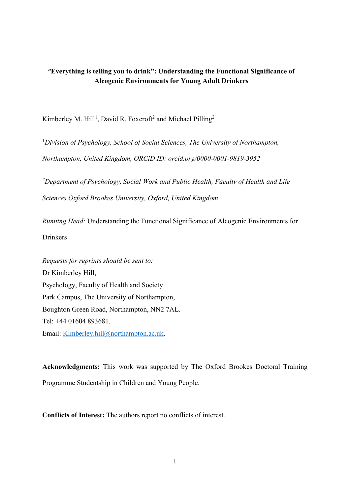# **"Everything is telling you to drink": Understanding the Functional Significance of Alcogenic Environments for Young Adult Drinkers**

Kimberley M. Hill<sup>1</sup>, David R. Foxcroft<sup>2</sup> and Michael Pilling<sup>2</sup>

<sup>1</sup>*Division of Psychology, School of Social Sciences, The University of Northampton, Northampton, United Kingdom, ORCiD ID: orcid.org/0000-0001-9819-3952*

*<sup>2</sup>Department of Psychology, Social Work and Public Health, Faculty of Health and Life Sciences Oxford Brookes University, Oxford, United Kingdom*

*Running Head:* Understanding the Functional Significance of Alcogenic Environments for **Drinkers** 

*Requests for reprints should be sent to:* Dr Kimberley Hill, Psychology, Faculty of Health and Society Park Campus, The University of Northampton, Boughton Green Road, Northampton, NN2 7AL. Tel: +44 01604 893681. Email: [Kimberley.hill@northampton.ac.uk.](mailto:Kimberley.hill@northampton.ac.uk)

**Acknowledgments:** This work was supported by The Oxford Brookes Doctoral Training Programme Studentship in Children and Young People.

**Conflicts of Interest:** The authors report no conflicts of interest.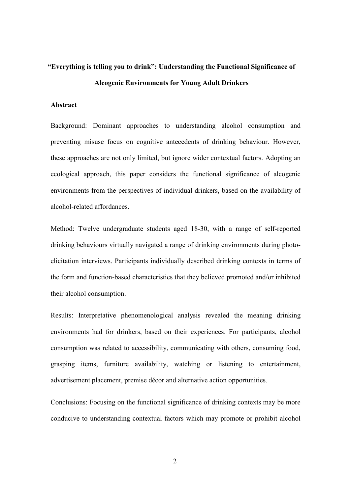# **"Everything is telling you to drink": Understanding the Functional Significance of Alcogenic Environments for Young Adult Drinkers**

#### **Abstract**

Background: Dominant approaches to understanding alcohol consumption and preventing misuse focus on cognitive antecedents of drinking behaviour. However, these approaches are not only limited, but ignore wider contextual factors. Adopting an ecological approach, this paper considers the functional significance of alcogenic environments from the perspectives of individual drinkers, based on the availability of alcohol-related affordances.

Method: Twelve undergraduate students aged 18-30, with a range of self-reported drinking behaviours virtually navigated a range of drinking environments during photoelicitation interviews. Participants individually described drinking contexts in terms of the form and function-based characteristics that they believed promoted and/or inhibited their alcohol consumption.

Results: Interpretative phenomenological analysis revealed the meaning drinking environments had for drinkers, based on their experiences. For participants, alcohol consumption was related to accessibility, communicating with others, consuming food, grasping items, furniture availability, watching or listening to entertainment, advertisement placement, premise décor and alternative action opportunities.

Conclusions: Focusing on the functional significance of drinking contexts may be more conducive to understanding contextual factors which may promote or prohibit alcohol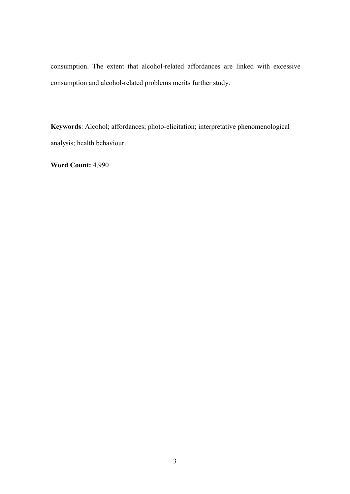consumption. The extent that alcohol-related affordances are linked with excessive consumption and alcohol-related problems merits further study.

**Keywords**: Alcohol; affordances; photo-elicitation; interpretative phenomenological analysis; health behaviour.

**Word Count:** 4,990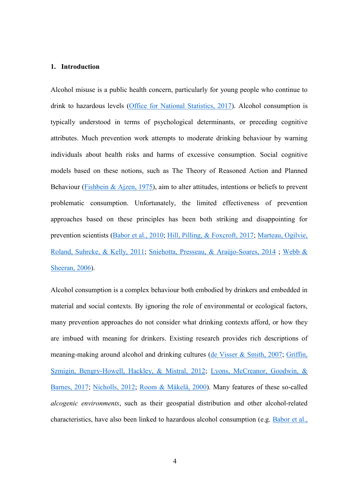#### **1. Introduction**

Alcohol misuse is a public health concern, particularly for young people who continue to drink to hazardous levels [\(Office for National Statistics, 2017\)](#page--1-0). Alcohol consumption is typically understood in terms of psychological determinants, or preceding cognitive attributes. Much prevention work attempts to moderate drinking behaviour by warning individuals about health risks and harms of excessive consumption. Social cognitive models based on these notions, such as The Theory of Reasoned Action and Planned Behaviour [\(Fishbein & Ajzen, 1975\)](#page--1-1), aim to alter attitudes, intentions or beliefs to prevent problematic consumption. Unfortunately, the limited effectiveness of prevention approaches based on these principles has been both striking and disappointing for prevention scientists [\(Babor et al., 2010;](#page--1-2) [Hill, Pilling, & Foxcroft, 2017;](#page--1-3) [Marteau, Ogilvie,](#page--1-4)  [Roland, Suhrcke, & Kelly, 2011; Sniehotta, Presseau, & Araújo-Soares, 2014](#page--1-4) ; [Webb &](#page--1-5)  [Sheeran, 2006\)](#page--1-5).

Alcohol consumption is a complex behaviour both embodied by drinkers and embedded in material and social contexts. By ignoring the role of environmental or ecological factors, many prevention approaches do not consider what drinking contexts afford, or how they are imbued with meaning for drinkers. Existing research provides rich descriptions of meaning-making around alcohol and drinking cultures [\(de Visser & Smith, 2007;](#page--1-6) [Griffin,](#page--1-7)  [Szmigin, Bengry-Howell, Hackley, & Mistral, 2012;](#page--1-7) [Lyons, McCreanor, Goodwin, &](#page--1-8)  [Barnes, 2017;](#page--1-8) [Nicholls, 2012;](#page--1-9) [Room & Mäkelä, 2000\)](#page--1-10). Many features of these so-called *alcogenic environments*, such as their geospatial distribution and other alcohol-related characteristics, have also been linked to hazardous alcohol consumption (e.g. [Babor et al.,](#page--1-2)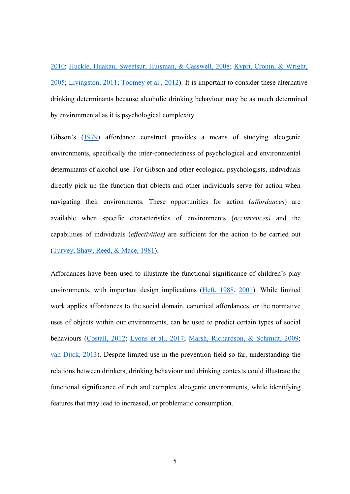[2010;](#page--1-2) [Huckle, Huakau, Sweetsur, Huisman, & Casswell, 2008;](#page--1-9) [Kypri, Cronin, & Wright,](#page--1-11)  [2005;](#page--1-11) [Livingston, 2011;](#page--1-12) [Toomey et al., 2012\)](#page--1-3). It is important to consider these alternative drinking determinants because alcoholic drinking behaviour may be as much determined by environmental as it is psychological complexity.

Gibson's [\(1979\)](#page--1-13) affordance construct provides a means of studying alcogenic environments, specifically the inter-connectedness of psychological and environmental determinants of alcohol use. For Gibson and other ecological psychologists, individuals directly pick up the function that objects and other individuals serve for action when navigating their environments. These opportunities for action (*affordances*) are available when specific characteristics of environments (*occurrences)* and the capabilities of individuals (*effectivities)* are sufficient for the action to be carried out [\(Turvey, Shaw, Reed, & Mace, 1981\)](#page--1-14).

Affordances have been used to illustrate the functional significance of children's play environments, with important design implications [\(Heft, 1988,](#page--1-15) [2001\)](#page--1-16). While limited work applies affordances to the social domain, canonical affordances, or the normative uses of objects within our environments, can be used to predict certain types of social behaviours [\(Costall, 2012;](#page--1-17) [Lyons et al., 2017;](#page--1-8) [Marsh, Richardson, & Schmidt, 2009;](#page--1-18) [van Dijck, 2013\)](#page--1-19). Despite limited use in the prevention field so far, understanding the relations between drinkers, drinking behaviour and drinking contexts could illustrate the functional significance of rich and complex alcogenic environments, while identifying features that may lead to increased, or problematic consumption.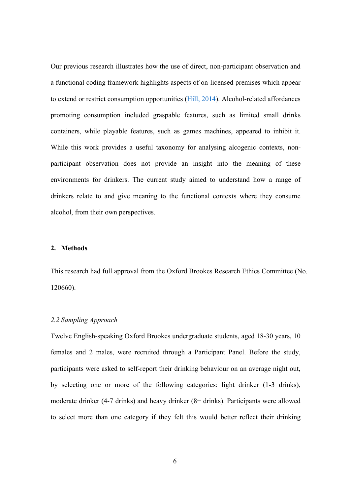Our previous research illustrates how the use of direct, non-participant observation and a functional coding framework highlights aspects of on-licensed premises which appear to extend or restrict consumption opportunities [\(Hill, 2014\)](#page--1-20). Alcohol-related affordances promoting consumption included graspable features, such as limited small drinks containers, while playable features, such as games machines, appeared to inhibit it. While this work provides a useful taxonomy for analysing alcogenic contexts, nonparticipant observation does not provide an insight into the meaning of these environments for drinkers. The current study aimed to understand how a range of drinkers relate to and give meaning to the functional contexts where they consume alcohol, from their own perspectives.

## **2. Methods**

This research had full approval from the Oxford Brookes Research Ethics Committee (No. 120660).

#### *2.2 Sampling Approach*

Twelve English-speaking Oxford Brookes undergraduate students, aged 18-30 years, 10 females and 2 males, were recruited through a Participant Panel. Before the study, participants were asked to self-report their drinking behaviour on an average night out, by selecting one or more of the following categories: light drinker (1-3 drinks), moderate drinker (4-7 drinks) and heavy drinker (8+ drinks). Participants were allowed to select more than one category if they felt this would better reflect their drinking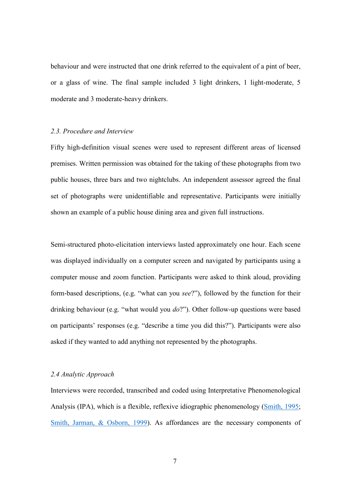behaviour and were instructed that one drink referred to the equivalent of a pint of beer, or a glass of wine. The final sample included 3 light drinkers, 1 light-moderate, 5 moderate and 3 moderate-heavy drinkers.

#### *2.3. Procedure and Interview*

Fifty high-definition visual scenes were used to represent different areas of licensed premises. Written permission was obtained for the taking of these photographs from two public houses, three bars and two nightclubs. An independent assessor agreed the final set of photographs were unidentifiable and representative. Participants were initially shown an example of a public house dining area and given full instructions.

Semi-structured photo-elicitation interviews lasted approximately one hour. Each scene was displayed individually on a computer screen and navigated by participants using a computer mouse and zoom function. Participants were asked to think aloud, providing form-based descriptions, (e.g. "what can you *see*?"), followed by the function for their drinking behaviour (e.g. "what would you *do*?"). Other follow-up questions were based on participants' responses (e.g. "describe a time you did this?"). Participants were also asked if they wanted to add anything not represented by the photographs.

#### *2.4 Analytic Approach*

Interviews were recorded, transcribed and coded using Interpretative Phenomenological Analysis (IPA), which is a flexible, reflexive idiographic phenomenology [\(Smith, 1995;](#page--1-21) [Smith, Jarman, & Osborn, 1999\)](#page--1-22). As affordances are the necessary components of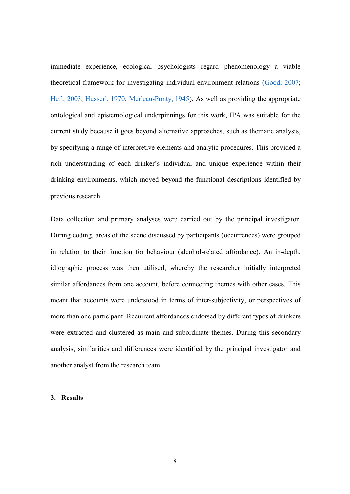immediate experience, ecological psychologists regard phenomenology a viable theoretical framework for investigating individual-environment relations [\(Good, 2007;](#page--1-23) [Heft, 2003;](#page--1-4) [Husserl, 1970;](#page--1-8) [Merleau-Ponty, 1945\)](#page--1-24). As well as providing the appropriate ontological and epistemological underpinnings for this work, IPA was suitable for the current study because it goes beyond alternative approaches, such as thematic analysis, by specifying a range of interpretive elements and analytic procedures. This provided a rich understanding of each drinker's individual and unique experience within their drinking environments, which moved beyond the functional descriptions identified by previous research.

Data collection and primary analyses were carried out by the principal investigator. During coding, areas of the scene discussed by participants (occurrences) were grouped in relation to their function for behaviour (alcohol-related affordance). An in-depth, idiographic process was then utilised, whereby the researcher initially interpreted similar affordances from one account, before connecting themes with other cases. This meant that accounts were understood in terms of inter-subjectivity, or perspectives of more than one participant. Recurrent affordances endorsed by different types of drinkers were extracted and clustered as main and subordinate themes. During this secondary analysis, similarities and differences were identified by the principal investigator and another analyst from the research team.

## **3. Results**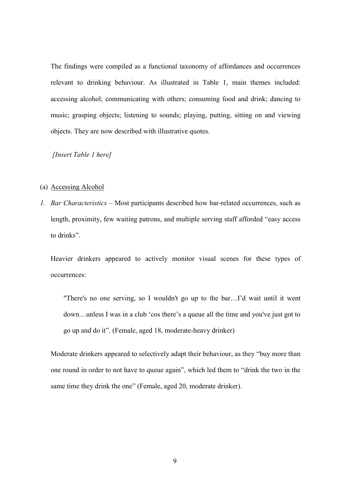The findings were compiled as a functional taxonomy of affordances and occurrences relevant to drinking behaviour. As illustrated in Table 1, main themes included: accessing alcohol; communicating with others; consuming food and drink; dancing to music; grasping objects; listening to sounds; playing, putting, sitting on and viewing objects. They are now described with illustrative quotes.

*[Insert Table 1 here]*

#### (a) Accessing Alcohol

*1. Bar Characteristics –* Most participants described how bar-related occurrences, such as length, proximity, few waiting patrons, and multiple serving staff afforded "easy access to drinks".

Heavier drinkers appeared to actively monitor visual scenes for these types of occurrences:

"There's no one serving, so I wouldn't go up to the bar…I'd wait until it went down…unless I was in a club 'cos there's a queue all the time and you've just got to go up and do it". (Female, aged 18, moderate-heavy drinker)

Moderate drinkers appeared to selectively adapt their behaviour, as they "buy more than one round in order to not have to queue again", which led them to "drink the two in the same time they drink the one" (Female, aged 20, moderate drinker).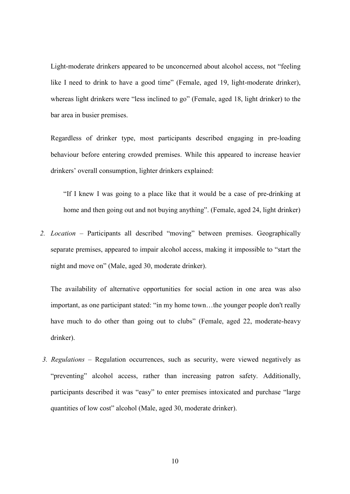Light-moderate drinkers appeared to be unconcerned about alcohol access, not "feeling like I need to drink to have a good time" (Female, aged 19, light-moderate drinker), whereas light drinkers were "less inclined to go" (Female, aged 18, light drinker) to the bar area in busier premises.

Regardless of drinker type, most participants described engaging in pre-loading behaviour before entering crowded premises. While this appeared to increase heavier drinkers' overall consumption, lighter drinkers explained:

"If I knew I was going to a place like that it would be a case of pre-drinking at home and then going out and not buying anything". (Female, aged 24, light drinker)

*2. Location –* Participants all described "moving" between premises. Geographically separate premises, appeared to impair alcohol access, making it impossible to "start the night and move on" (Male, aged 30, moderate drinker).

The availability of alternative opportunities for social action in one area was also important, as one participant stated: "in my home town…the younger people don't really have much to do other than going out to clubs" (Female, aged 22, moderate-heavy drinker).

*3. Regulations –* Regulation occurrences, such as security, were viewed negatively as "preventing" alcohol access, rather than increasing patron safety. Additionally, participants described it was "easy" to enter premises intoxicated and purchase "large quantities of low cost" alcohol (Male, aged 30, moderate drinker).

10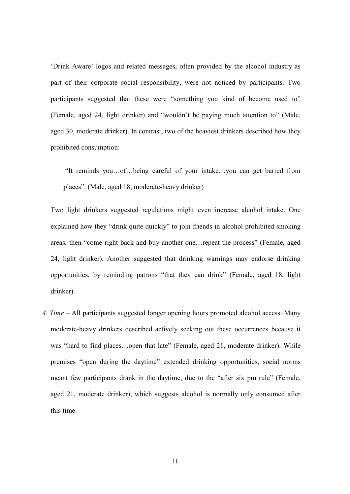'Drink Aware' logos and related messages, often provided by the alcohol industry as part of their corporate social responsibility, were not noticed by participants. Two participants suggested that these were "something you kind of become used to" (Female, aged 24, light drinker) and "wouldn't be paying much attention to" (Male, aged 30, moderate drinker). In contrast, two of the heaviest drinkers described how they prohibited consumption:

"It reminds you…of…being careful of your intake…you can get barred from places". (Male, aged 18, moderate-heavy drinker)

Two light drinkers suggested regulations might even increase alcohol intake. One explained how they "drink quite quickly" to join friends in alcohol prohibited smoking areas, then "come right back and buy another one…repeat the process" (Female, aged 24, light drinker). Another suggested that drinking warnings may endorse drinking opportunities, by reminding patrons "that they can drink" (Female, aged 18, light drinker).

*4. Time –* All participants suggested longer opening hours promoted alcohol access. Many moderate-heavy drinkers described actively seeking out these occurrences because it was "hard to find places...open that late" (Female, aged 21, moderate drinker). While premises "open during the daytime" extended drinking opportunities, social norms meant few participants drank in the daytime, due to the "after six pm rule" (Female, aged 21, moderate drinker), which suggests alcohol is normally only consumed after this time.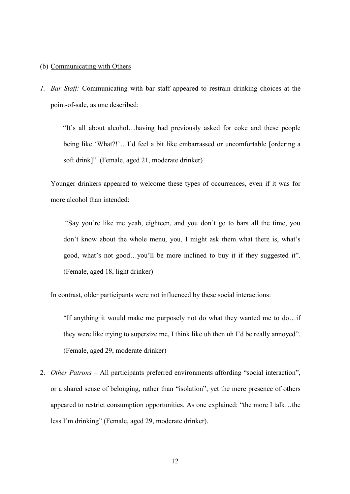#### (b) Communicating with Others

*1. Bar Staff:* Communicating with bar staff appeared to restrain drinking choices at the point-of-sale, as one described:

"It's all about alcohol…having had previously asked for coke and these people being like 'What?!'...I'd feel a bit like embarrassed or uncomfortable [ordering a soft drink]". (Female, aged 21, moderate drinker)

Younger drinkers appeared to welcome these types of occurrences, even if it was for more alcohol than intended:

"Say you're like me yeah, eighteen, and you don't go to bars all the time, you don't know about the whole menu, you, I might ask them what there is, what's good, what's not good…you'll be more inclined to buy it if they suggested it". (Female, aged 18, light drinker)

In contrast, older participants were not influenced by these social interactions:

"If anything it would make me purposely not do what they wanted me to do…if they were like trying to supersize me, I think like uh then uh I'd be really annoyed". (Female, aged 29, moderate drinker)

2. *Other Patrons –* All participants preferred environments affording "social interaction", or a shared sense of belonging, rather than "isolation", yet the mere presence of others appeared to restrict consumption opportunities. As one explained: "the more I talk…the less I'm drinking" (Female, aged 29, moderate drinker).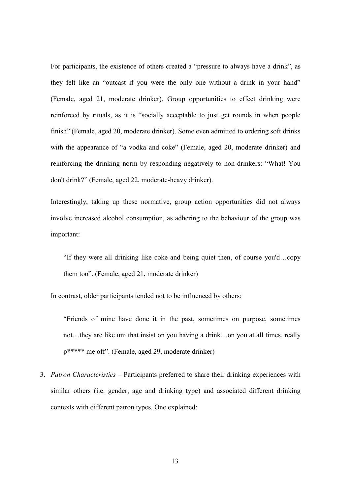For participants, the existence of others created a "pressure to always have a drink", as they felt like an "outcast if you were the only one without a drink in your hand" (Female, aged 21, moderate drinker). Group opportunities to effect drinking were reinforced by rituals, as it is "socially acceptable to just get rounds in when people finish" (Female, aged 20, moderate drinker). Some even admitted to ordering soft drinks with the appearance of "a vodka and coke" (Female, aged 20, moderate drinker) and reinforcing the drinking norm by responding negatively to non-drinkers: "What! You don't drink?" (Female, aged 22, moderate-heavy drinker).

Interestingly, taking up these normative, group action opportunities did not always involve increased alcohol consumption, as adhering to the behaviour of the group was important:

"If they were all drinking like coke and being quiet then, of course you'd…copy them too". (Female, aged 21, moderate drinker)

In contrast, older participants tended not to be influenced by others:

"Friends of mine have done it in the past, sometimes on purpose, sometimes not…they are like um that insist on you having a drink…on you at all times, really p\*\*\*\*\* me off". (Female, aged 29, moderate drinker)

3. *Patron Characteristics –* Participants preferred to share their drinking experiences with similar others (i.e. gender, age and drinking type) and associated different drinking contexts with different patron types. One explained: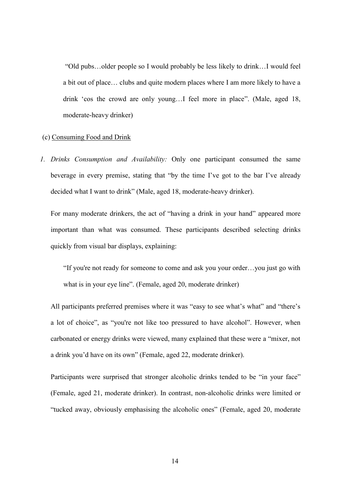"Old pubs…older people so I would probably be less likely to drink…I would feel a bit out of place… clubs and quite modern places where I am more likely to have a drink 'cos the crowd are only young…I feel more in place". (Male, aged 18, moderate-heavy drinker)

#### (c) Consuming Food and Drink

*1. Drinks Consumption and Availability:* Only one participant consumed the same beverage in every premise, stating that "by the time I've got to the bar I've already decided what I want to drink" (Male, aged 18, moderate-heavy drinker).

For many moderate drinkers, the act of "having a drink in your hand" appeared more important than what was consumed. These participants described selecting drinks quickly from visual bar displays, explaining:

"If you're not ready for someone to come and ask you your order…you just go with what is in your eye line". (Female, aged 20, moderate drinker)

All participants preferred premises where it was "easy to see what's what" and "there's a lot of choice", as "you're not like too pressured to have alcohol". However, when carbonated or energy drinks were viewed, many explained that these were a "mixer, not a drink you'd have on its own" (Female, aged 22, moderate drinker).

Participants were surprised that stronger alcoholic drinks tended to be "in your face" (Female, aged 21, moderate drinker). In contrast, non-alcoholic drinks were limited or "tucked away, obviously emphasising the alcoholic ones" (Female, aged 20, moderate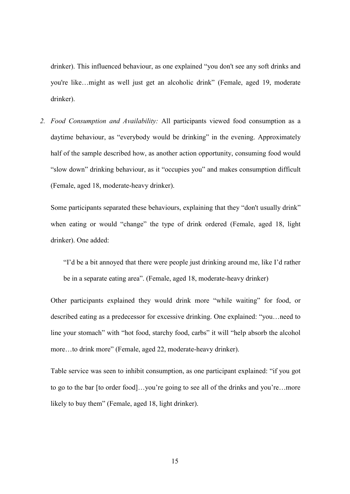drinker). This influenced behaviour, as one explained "you don't see any soft drinks and you're like…might as well just get an alcoholic drink" (Female, aged 19, moderate drinker).

*2. Food Consumption and Availability:* All participants viewed food consumption as a daytime behaviour, as "everybody would be drinking" in the evening. Approximately half of the sample described how, as another action opportunity, consuming food would "slow down" drinking behaviour, as it "occupies you" and makes consumption difficult (Female, aged 18, moderate-heavy drinker).

Some participants separated these behaviours, explaining that they "don't usually drink" when eating or would "change" the type of drink ordered (Female, aged 18, light drinker). One added:

"I'd be a bit annoyed that there were people just drinking around me, like I'd rather be in a separate eating area". (Female, aged 18, moderate-heavy drinker)

Other participants explained they would drink more "while waiting" for food, or described eating as a predecessor for excessive drinking. One explained: "you…need to line your stomach" with "hot food, starchy food, carbs" it will "help absorb the alcohol more…to drink more" (Female, aged 22, moderate-heavy drinker).

Table service was seen to inhibit consumption, as one participant explained: "if you got to go to the bar [to order food]…you're going to see all of the drinks and you're…more likely to buy them" (Female, aged 18, light drinker).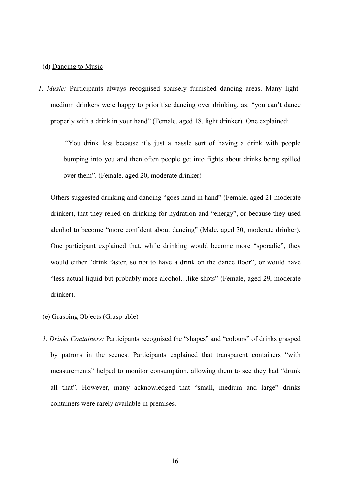#### (d) Dancing to Music

*1. Music:* Participants always recognised sparsely furnished dancing areas. Many lightmedium drinkers were happy to prioritise dancing over drinking, as: "you can't dance properly with a drink in your hand" (Female, aged 18, light drinker). One explained:

"You drink less because it's just a hassle sort of having a drink with people bumping into you and then often people get into fights about drinks being spilled over them". (Female, aged 20, moderate drinker)

Others suggested drinking and dancing "goes hand in hand" (Female, aged 21 moderate drinker), that they relied on drinking for hydration and "energy", or because they used alcohol to become "more confident about dancing" (Male, aged 30, moderate drinker). One participant explained that, while drinking would become more "sporadic", they would either "drink faster, so not to have a drink on the dance floor", or would have "less actual liquid but probably more alcohol…like shots" (Female, aged 29, moderate drinker).

#### (e) Grasping Objects (Grasp-able)

*1. Drinks Containers:* Participants recognised the "shapes" and "colours" of drinks grasped by patrons in the scenes. Participants explained that transparent containers "with measurements" helped to monitor consumption, allowing them to see they had "drunk all that". However, many acknowledged that "small, medium and large" drinks containers were rarely available in premises.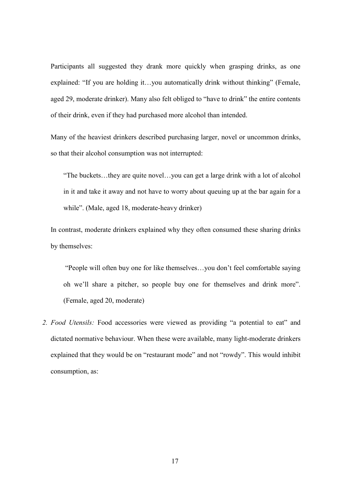Participants all suggested they drank more quickly when grasping drinks, as one explained: "If you are holding it…you automatically drink without thinking" (Female, aged 29, moderate drinker). Many also felt obliged to "have to drink" the entire contents of their drink, even if they had purchased more alcohol than intended.

Many of the heaviest drinkers described purchasing larger, novel or uncommon drinks, so that their alcohol consumption was not interrupted:

"The buckets…they are quite novel…you can get a large drink with a lot of alcohol in it and take it away and not have to worry about queuing up at the bar again for a while". (Male, aged 18, moderate-heavy drinker)

In contrast, moderate drinkers explained why they often consumed these sharing drinks by themselves:

"People will often buy one for like themselves…you don't feel comfortable saying oh we'll share a pitcher, so people buy one for themselves and drink more". (Female, aged 20, moderate)

*2. Food Utensils:* Food accessories were viewed as providing "a potential to eat" and dictated normative behaviour. When these were available, many light-moderate drinkers explained that they would be on "restaurant mode" and not "rowdy". This would inhibit consumption, as: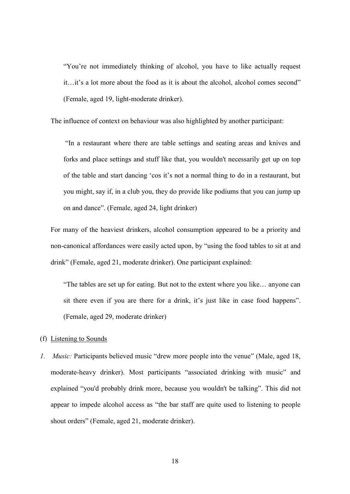"You're not immediately thinking of alcohol, you have to like actually request it…it's a lot more about the food as it is about the alcohol, alcohol comes second" (Female, aged 19, light-moderate drinker).

The influence of context on behaviour was also highlighted by another participant:

"In a restaurant where there are table settings and seating areas and knives and forks and place settings and stuff like that, you wouldn't necessarily get up on top of the table and start dancing 'cos it's not a normal thing to do in a restaurant, but you might, say if, in a club you, they do provide like podiums that you can jump up on and dance". (Female, aged 24, light drinker)

For many of the heaviest drinkers, alcohol consumption appeared to be a priority and non-canonical affordances were easily acted upon, by "using the food tables to sit at and drink" (Female, aged 21, moderate drinker). One participant explained:

"The tables are set up for eating. But not to the extent where you like… anyone can sit there even if you are there for a drink, it's just like in case food happens". (Female, aged 29, moderate drinker)

- (f) Listening to Sounds
- *1. Music:* Participants believed music "drew more people into the venue" (Male, aged 18, moderate-heavy drinker). Most participants "associated drinking with music" and explained "you'd probably drink more, because you wouldn't be talking". This did not appear to impede alcohol access as "the bar staff are quite used to listening to people shout orders" (Female, aged 21, moderate drinker).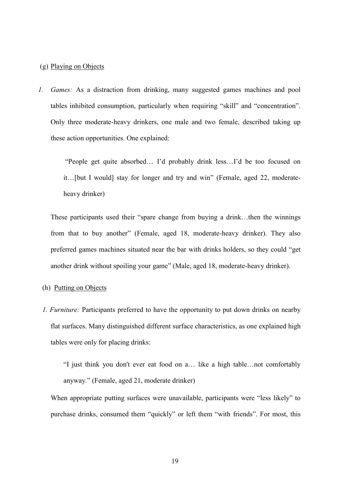#### (g) Playing on Objects

*1. Games:* As a distraction from drinking, many suggested games machines and pool tables inhibited consumption, particularly when requiring "skill" and "concentration". Only three moderate-heavy drinkers, one male and two female, described taking up these action opportunities. One explained:

"People get quite absorbed… I'd probably drink less…I'd be too focused on it…[but I would] stay for longer and try and win" (Female, aged 22, moderateheavy drinker)

These participants used their "spare change from buying a drink…then the winnings from that to buy another" (Female, aged 18, moderate-heavy drinker). They also preferred games machines situated near the bar with drinks holders, so they could "get another drink without spoiling your game" (Male, aged 18, moderate-heavy drinker).

#### (h) Putting on Objects

*1. Furniture:* Participants preferred to have the opportunity to put down drinks on nearby flat surfaces. Many distinguished different surface characteristics, as one explained high tables were only for placing drinks:

"I just think you don't ever eat food on a… like a high table…not comfortably anyway." (Female, aged 21, moderate drinker)

When appropriate putting surfaces were unavailable, participants were "less likely" to purchase drinks, consumed them "quickly" or left them "with friends". For most, this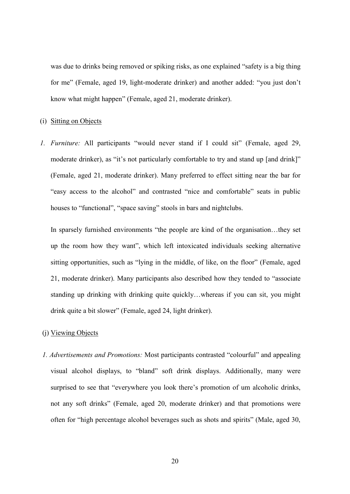was due to drinks being removed or spiking risks, as one explained "safety is a big thing for me" (Female, aged 19, light-moderate drinker) and another added: "you just don't know what might happen" (Female, aged 21, moderate drinker).

#### (i) Sitting on Objects

*1. Furniture:* All participants "would never stand if I could sit" (Female, aged 29, moderate drinker), as "it's not particularly comfortable to try and stand up [and drink]" (Female, aged 21, moderate drinker). Many preferred to effect sitting near the bar for "easy access to the alcohol" and contrasted "nice and comfortable" seats in public houses to "functional", "space saving" stools in bars and nightclubs.

In sparsely furnished environments "the people are kind of the organisation…they set up the room how they want", which left intoxicated individuals seeking alternative sitting opportunities, such as "lying in the middle, of like, on the floor" (Female, aged 21, moderate drinker). Many participants also described how they tended to "associate standing up drinking with drinking quite quickly…whereas if you can sit, you might drink quite a bit slower" (Female, aged 24, light drinker).

#### (j) Viewing Objects

*1. Advertisements and Promotions:* Most participants contrasted "colourful" and appealing visual alcohol displays, to "bland" soft drink displays. Additionally, many were surprised to see that "everywhere you look there's promotion of um alcoholic drinks, not any soft drinks" (Female, aged 20, moderate drinker) and that promotions were often for "high percentage alcohol beverages such as shots and spirits" (Male, aged 30,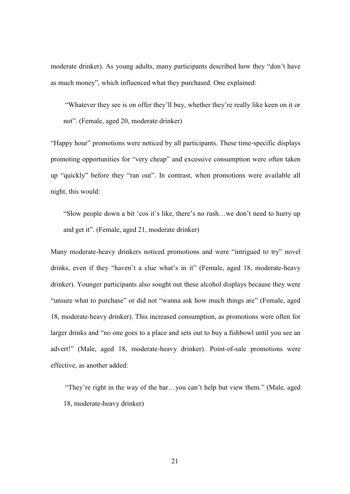moderate drinker). As young adults, many participants described how they "don't have as much money", which influenced what they purchased. One explained:

"Whatever they see is on offer they'll buy, whether they're really like keen on it or not". (Female, aged 20, moderate drinker)

"Happy hour" promotions were noticed by all participants. These time-specific displays promoting opportunities for "very cheap" and excessive consumption were often taken up "quickly" before they "ran out". In contrast, when promotions were available all night, this would:

"Slow people down a bit 'cos it's like, there's no rush…we don't need to hurry up and get it". (Female, aged 21, moderate drinker)

Many moderate-heavy drinkers noticed promotions and were "intrigued to try" novel drinks, even if they "haven't a clue what's in it" (Female, aged 18, moderate-heavy drinker). Younger participants also sought out these alcohol displays because they were "unsure what to purchase" or did not "wanna ask how much things are" (Female, aged 18, moderate-heavy drinker). This increased consumption, as promotions were often for larger drinks and "no one goes to a place and sets out to buy a fishbowl until you see an advert!" (Male, aged 18, moderate-heavy drinker). Point-of-sale promotions were effective, as another added:

"They're right in the way of the bar…you can't help but view them." (Male, aged 18, moderate-heavy drinker)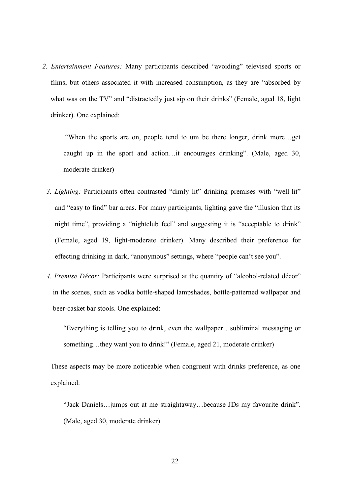*2. Entertainment Features:* Many participants described "avoiding" televised sports or films, but others associated it with increased consumption, as they are "absorbed by what was on the TV" and "distractedly just sip on their drinks" (Female, aged 18, light drinker). One explained:

"When the sports are on, people tend to um be there longer, drink more…get caught up in the sport and action…it encourages drinking". (Male, aged 30, moderate drinker)

- *3. Lighting:* Participants often contrasted "dimly lit" drinking premises with "well-lit" and "easy to find" bar areas. For many participants, lighting gave the "illusion that its night time", providing a "nightclub feel" and suggesting it is "acceptable to drink" (Female, aged 19, light-moderate drinker). Many described their preference for effecting drinking in dark, "anonymous" settings, where "people can't see you".
- *4. Premise Décor:* Participants were surprised at the quantity of "alcohol-related décor" in the scenes, such as vodka bottle-shaped lampshades, bottle-patterned wallpaper and beer-casket bar stools. One explained:

"Everything is telling you to drink, even the wallpaper…subliminal messaging or something...they want you to drink!" (Female, aged 21, moderate drinker)

These aspects may be more noticeable when congruent with drinks preference, as one explained:

"Jack Daniels…jumps out at me straightaway…because JDs my favourite drink". (Male, aged 30, moderate drinker)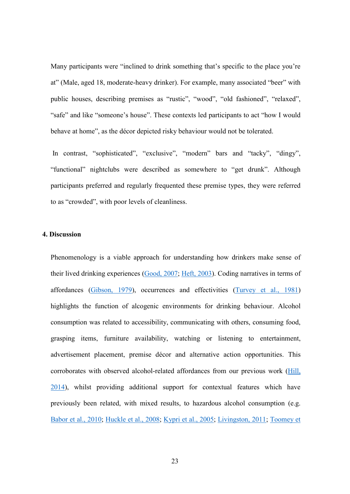Many participants were "inclined to drink something that's specific to the place you're at" (Male, aged 18, moderate-heavy drinker). For example, many associated "beer" with public houses, describing premises as "rustic", "wood", "old fashioned", "relaxed", "safe" and like "someone's house". These contexts led participants to act "how I would behave at home", as the décor depicted risky behaviour would not be tolerated.

In contrast, "sophisticated", "exclusive", "modern" bars and "tacky", "dingy", "functional" nightclubs were described as somewhere to "get drunk". Although participants preferred and regularly frequented these premise types, they were referred to as "crowded", with poor levels of cleanliness.

#### **4. Discussion**

Phenomenology is a viable approach for understanding how drinkers make sense of their lived drinking experiences [\(Good, 2007;](#page--1-23) [Heft, 2003\)](#page--1-4). Coding narratives in terms of affordances [\(Gibson, 1979\)](#page--1-13), occurrences and effectivities [\(Turvey et al., 1981\)](#page--1-14) highlights the function of alcogenic environments for drinking behaviour. Alcohol consumption was related to accessibility, communicating with others, consuming food, grasping items, furniture availability, watching or listening to entertainment, advertisement placement, premise décor and alternative action opportunities. This corroborates with observed alcohol-related affordances from our previous work [\(Hill,](#page--1-20)  [2014\)](#page--1-20), whilst providing additional support for contextual features which have previously been related, with mixed results, to hazardous alcohol consumption (e.g. [Babor et al., 2010;](#page--1-2) [Huckle et al., 2008;](#page--1-9) [Kypri et al., 2005;](#page--1-11) [Livingston, 2011;](#page--1-12) [Toomey et](#page--1-3)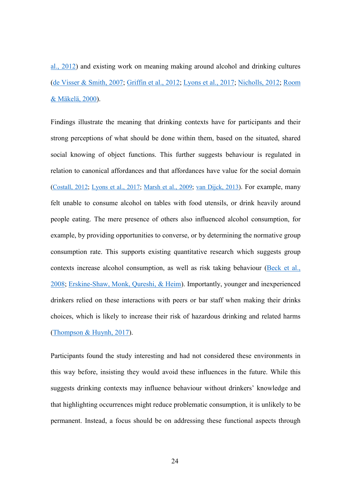[al., 2012\)](#page--1-3) and existing work on meaning making around alcohol and drinking cultures [\(de Visser & Smith, 2007;](#page--1-6) [Griffin et al., 2012;](#page--1-7) [Lyons et al., 2017;](#page--1-8) [Nicholls, 2012;](#page--1-9) [Room](#page--1-10)  [& Mäkelä, 2000\)](#page--1-10).

Findings illustrate the meaning that drinking contexts have for participants and their strong perceptions of what should be done within them, based on the situated, shared social knowing of object functions. This further suggests behaviour is regulated in relation to canonical affordances and that affordances have value for the social domain [\(Costall, 2012;](#page--1-17) [Lyons et al., 2017;](#page--1-8) [Marsh et al., 2009;](#page--1-18) [van Dijck, 2013\)](#page--1-19). For example, many felt unable to consume alcohol on tables with food utensils, or drink heavily around people eating. The mere presence of others also influenced alcohol consumption, for example, by providing opportunities to converse, or by determining the normative group consumption rate. This supports existing quantitative research which suggests group contexts increase alcohol consumption, as well as risk taking behaviour [\(Beck et al.,](#page--1-25)  [2008;](#page--1-25) [Erskine-Shaw, Monk, Qureshi, & Heim\)](#page--1-26). Importantly, younger and inexperienced drinkers relied on these interactions with peers or bar staff when making their drinks choices, which is likely to increase their risk of hazardous drinking and related harms [\(Thompson & Huynh, 2017\)](#page--1-20).

Participants found the study interesting and had not considered these environments in this way before, insisting they would avoid these influences in the future. While this suggests drinking contexts may influence behaviour without drinkers' knowledge and that highlighting occurrences might reduce problematic consumption, it is unlikely to be permanent. Instead, a focus should be on addressing these functional aspects through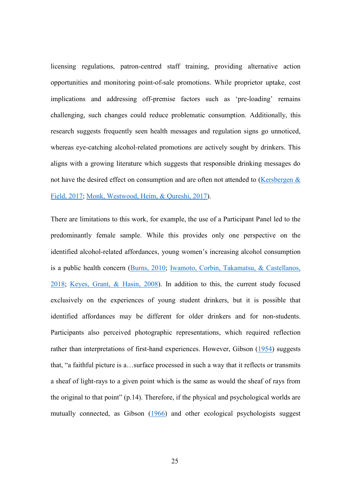licensing regulations, patron-centred staff training, providing alternative action opportunities and monitoring point-of-sale promotions. While proprietor uptake, cost implications and addressing off-premise factors such as 'pre-loading' remains challenging, such changes could reduce problematic consumption. Additionally, this research suggests frequently seen health messages and regulation signs go unnoticed, whereas eye-catching alcohol-related promotions are actively sought by drinkers. This aligns with a growing literature which suggests that responsible drinking messages do not have the desired effect on consumption and are often not attended to [\(Kersbergen &](#page--1-4)  [Field, 2017;](#page--1-4) [Monk, Westwood, Heim, & Qureshi, 2017\)](#page--1-3).

There are limitations to this work, for example, the use of a Participant Panel led to the predominantly female sample. While this provides only one perspective on the identified alcohol-related affordances, young women's increasing alcohol consumption is a public health concern [\(Burns, 2010;](#page--1-27) [Iwamoto, Corbin, Takamatsu, & Castellanos,](#page--1-28)  [2018;](#page--1-28) [Keyes, Grant, & Hasin, 2008\)](#page--1-29). In addition to this, the current study focused exclusively on the experiences of young student drinkers, but it is possible that identified affordances may be different for older drinkers and for non-students. Participants also perceived photographic representations, which required reflection rather than interpretations of first-hand experiences. However, Gibson [\(1954\)](#page--1-4) suggests that, "a faithful picture is a…surface processed in such a way that it reflects or transmits a sheaf of light-rays to a given point which is the same as would the sheaf of rays from the original to that point" (p.14). Therefore, if the physical and psychological worlds are mutually connected, as Gibson [\(1966\)](#page--1-20) and other ecological psychologists suggest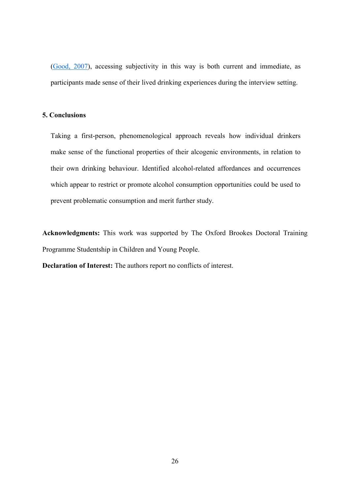[\(Good, 2007\)](#page--1-23), accessing subjectivity in this way is both current and immediate, as participants made sense of their lived drinking experiences during the interview setting.

#### **5. Conclusions**

Taking a first-person, phenomenological approach reveals how individual drinkers make sense of the functional properties of their alcogenic environments, in relation to their own drinking behaviour. Identified alcohol-related affordances and occurrences which appear to restrict or promote alcohol consumption opportunities could be used to prevent problematic consumption and merit further study.

**Acknowledgments:** This work was supported by The Oxford Brookes Doctoral Training Programme Studentship in Children and Young People.

**Declaration of Interest:** The authors report no conflicts of interest.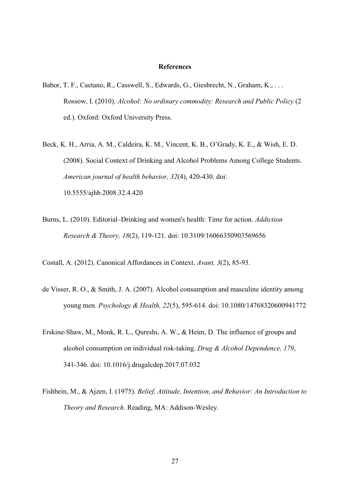#### **References**

- Babor, T. F., Caetano, R., Casswell, S., Edwards, G., Giesbrecht, N., Graham, K., . . . Rossow, I. (2010). *Alcohol: No ordinary commodity: Research and Public Policy* (2 ed.). Oxford: Oxford University Press.
- Beck, K. H., Arria, A. M., Caldeira, K. M., Vincent, K. B., O'Grady, K. E., & Wish, E. D. (2008). Social Context of Drinking and Alcohol Problems Among College Students. *American journal of health behavior, 32*(4), 420-430. doi: 10.5555/ajhb.2008.32.4.420
- Burns, L. (2010). Editorial–Drinking and women's health: Time for action. *Addiction Research & Theory, 18*(2), 119-121. doi: 10.3109/16066350903569656
- Costall, A. (2012). Canonical Affordances in Context. *Avant, 3*(2), 85-93.
- de Visser, R. O., & Smith, J. A. (2007). Alcohol consumption and masculine identity among young men. *Psychology & Health, 22*(5), 595-614. doi: 10.1080/14768320600941772
- Erskine-Shaw, M., Monk, R. L., Qureshi, A. W., & Heim, D. The influence of groups and alcohol consumption on individual risk-taking. *Drug & Alcohol Dependence, 179*, 341-346. doi: 10.1016/j.drugalcdep.2017.07.032
- Fishbein, M., & Ajzen, I. (1975). *Belief, Attitude, Intention, and Behavior: An Introduction to Theory and Research*. Reading, MA: Addison-Wesley.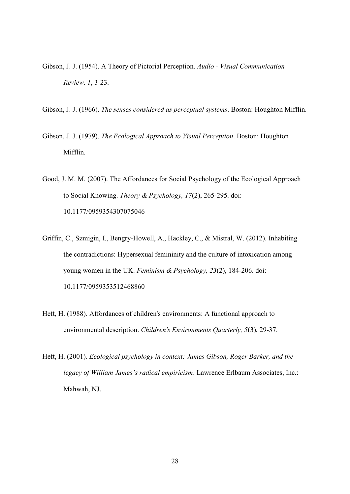- Gibson, J. J. (1954). A Theory of Pictorial Perception. *Audio - Visual Communication Review, 1*, 3-23.
- Gibson, J. J. (1966). *The senses considered as perceptual systems*. Boston: Houghton Mifflin.
- Gibson, J. J. (1979). *The Ecological Approach to Visual Perception*. Boston: Houghton Mifflin.
- Good, J. M. M. (2007). The Affordances for Social Psychology of the Ecological Approach to Social Knowing. *Theory & Psychology, 17*(2), 265-295. doi: 10.1177/0959354307075046
- Griffin, C., Szmigin, I., Bengry-Howell, A., Hackley, C., & Mistral, W. (2012). Inhabiting the contradictions: Hypersexual femininity and the culture of intoxication among young women in the UK. *Feminism & Psychology, 23*(2), 184-206. doi: 10.1177/0959353512468860
- Heft, H. (1988). Affordances of children's environments: A functional approach to environmental description. *Children's Environments Quarterly, 5*(3), 29-37.
- Heft, H. (2001). *Ecological psychology in context: James Gibson, Roger Barker, and the legacy of William James's radical empiricism*. Lawrence Erlbaum Associates, Inc.: Mahwah, NJ.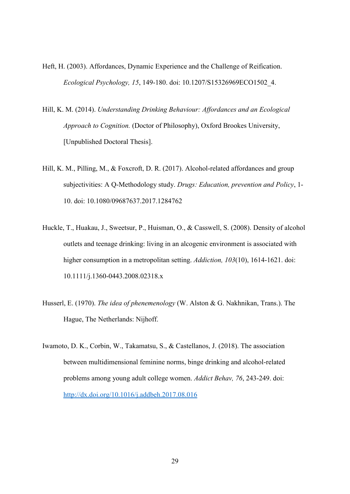- Heft, H. (2003). Affordances, Dynamic Experience and the Challenge of Reification. *Ecological Psychology, 15*, 149-180. doi: 10.1207/S15326969ECO1502\_4.
- Hill, K. M. (2014). *Understanding Drinking Behaviour: Affordances and an Ecological Approach to Cognition.* (Doctor of Philosophy), Oxford Brookes University, [Unpublished Doctoral Thesis].
- Hill, K. M., Pilling, M., & Foxcroft, D. R. (2017). Alcohol-related affordances and group subjectivities: A Q-Methodology study. *Drugs: Education, prevention and Policy*, 1- 10. doi: 10.1080/09687637.2017.1284762
- Huckle, T., Huakau, J., Sweetsur, P., Huisman, O., & Casswell, S. (2008). Density of alcohol outlets and teenage drinking: living in an alcogenic environment is associated with higher consumption in a metropolitan setting. *Addiction, 103*(10), 1614-1621. doi: 10.1111/j.1360-0443.2008.02318.x
- Husserl, E. (1970). *The idea of phenemenology* (W. Alston & G. Nakhnikan, Trans.). The Hague, The Netherlands: Nijhoff.
- Iwamoto, D. K., Corbin, W., Takamatsu, S., & Castellanos, J. (2018). The association between multidimensional feminine norms, binge drinking and alcohol-related problems among young adult college women. *Addict Behav, 76*, 243-249. doi: <http://dx.doi.org/10.1016/j.addbeh.2017.08.016>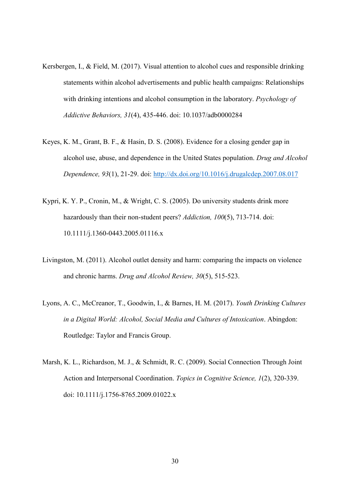- Kersbergen, I., & Field, M. (2017). Visual attention to alcohol cues and responsible drinking statements within alcohol advertisements and public health campaigns: Relationships with drinking intentions and alcohol consumption in the laboratory. *Psychology of Addictive Behaviors, 31*(4), 435-446. doi: 10.1037/adb0000284
- Keyes, K. M., Grant, B. F., & Hasin, D. S. (2008). Evidence for a closing gender gap in alcohol use, abuse, and dependence in the United States population. *Drug and Alcohol Dependence, 93*(1), 21-29. doi:<http://dx.doi.org/10.1016/j.drugalcdep.2007.08.017>
- Kypri, K. Y. P., Cronin, M., & Wright, C. S. (2005). Do university students drink more hazardously than their non-student peers? *Addiction, 100*(5), 713-714. doi: 10.1111/j.1360-0443.2005.01116.x
- Livingston, M. (2011). Alcohol outlet density and harm: comparing the impacts on violence and chronic harms. *Drug and Alcohol Review, 30*(5), 515-523.
- Lyons, A. C., McCreanor, T., Goodwin, I., & Barnes, H. M. (2017). *Youth Drinking Cultures in a Digital World: Alcohol, Social Media and Cultures of Intoxication*. Abingdon: Routledge: Taylor and Francis Group.
- Marsh, K. L., Richardson, M. J., & Schmidt, R. C. (2009). Social Connection Through Joint Action and Interpersonal Coordination. *Topics in Cognitive Science, 1*(2), 320-339. doi: 10.1111/j.1756-8765.2009.01022.x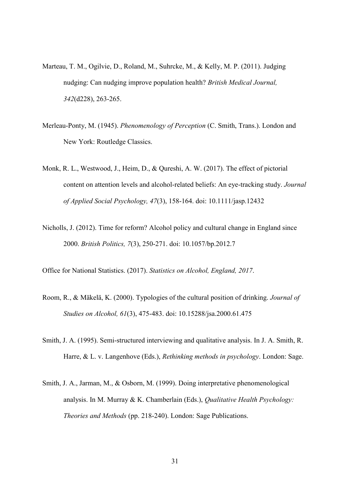- Marteau, T. M., Ogilvie, D., Roland, M., Suhrcke, M., & Kelly, M. P. (2011). Judging nudging: Can nudging improve population health? *British Medical Journal, 342*(d228), 263-265.
- Merleau-Ponty, M. (1945). *Phenomenology of Perception* (C. Smith, Trans.). London and New York: Routledge Classics.
- Monk, R. L., Westwood, J., Heim, D., & Qureshi, A. W. (2017). The effect of pictorial content on attention levels and alcohol-related beliefs: An eye-tracking study. *Journal of Applied Social Psychology, 47*(3), 158-164. doi: 10.1111/jasp.12432
- Nicholls, J. (2012). Time for reform? Alcohol policy and cultural change in England since 2000. *British Politics, 7*(3), 250-271. doi: 10.1057/bp.2012.7

Office for National Statistics. (2017). *Statistics on Alcohol, England, 2017*.

- Room, R., & Mäkelä, K. (2000). Typologies of the cultural position of drinking. *Journal of Studies on Alcohol, 61*(3), 475-483. doi: 10.15288/jsa.2000.61.475
- Smith, J. A. (1995). Semi-structured interviewing and qualitative analysis. In J. A. Smith, R. Harre, & L. v. Langenhove (Eds.), *Rethinking methods in psychology*. London: Sage.
- Smith, J. A., Jarman, M., & Osborn, M. (1999). Doing interpretative phenomenological analysis. In M. Murray & K. Chamberlain (Eds.), *Qualitative Health Psychology: Theories and Methods* (pp. 218-240). London: Sage Publications.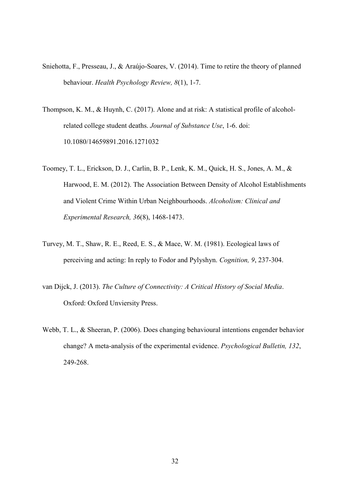- Sniehotta, F., Presseau, J., & Araújo-Soares, V. (2014). Time to retire the theory of planned behaviour. *Health Psychology Review, 8*(1), 1-7.
- Thompson, K. M., & Huynh, C. (2017). Alone and at risk: A statistical profile of alcoholrelated college student deaths. *Journal of Substance Use*, 1-6. doi: 10.1080/14659891.2016.1271032
- Toomey, T. L., Erickson, D. J., Carlin, B. P., Lenk, K. M., Quick, H. S., Jones, A. M., & Harwood, E. M. (2012). The Association Between Density of Alcohol Establishments and Violent Crime Within Urban Neighbourhoods. *Alcoholism: Clinical and Experimental Research, 36*(8), 1468-1473.
- Turvey, M. T., Shaw, R. E., Reed, E. S., & Mace, W. M. (1981). Ecological laws of perceiving and acting: In reply to Fodor and Pylyshyn. *Cognition, 9*, 237-304.
- van Dijck, J. (2013). *The Culture of Connectivity: A Critical History of Social Media*. Oxford: Oxford Unviersity Press.
- Webb, T. L., & Sheeran, P. (2006). Does changing behavioural intentions engender behavior change? A meta-analysis of the experimental evidence. *Psychological Bulletin, 132*, 249-268.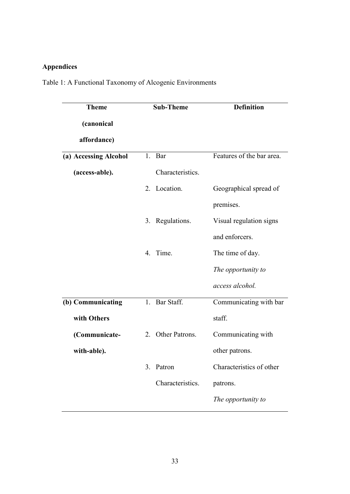# **Appendices**

Table 1: A Functional Taxonomy of Alcogenic Environments

| <b>Theme</b>          | <b>Sub-Theme</b>   | <b>Definition</b>         |
|-----------------------|--------------------|---------------------------|
| (canonical            |                    |                           |
| affordance)           |                    |                           |
| (a) Accessing Alcohol | 1.<br>Bar          | Features of the bar area. |
| (access-able).        | Characteristics.   |                           |
|                       | Location.<br>2.    | Geographical spread of    |
|                       |                    | premises.                 |
|                       | Regulations.<br>3. | Visual regulation signs   |
|                       |                    | and enforcers.            |
|                       | Time.<br>4.        | The time of day.          |
|                       |                    | The opportunity to        |
|                       |                    | access alcohol.           |
| (b) Communicating     | Bar Staff.<br>1.   | Communicating with bar    |
| with Others           |                    | staff.                    |
| (Communicate-         | 2. Other Patrons.  | Communicating with        |
| with-able).           |                    | other patrons.            |
|                       | 3.<br>Patron       | Characteristics of other  |
|                       | Characteristics.   | patrons.                  |
|                       |                    | The opportunity to        |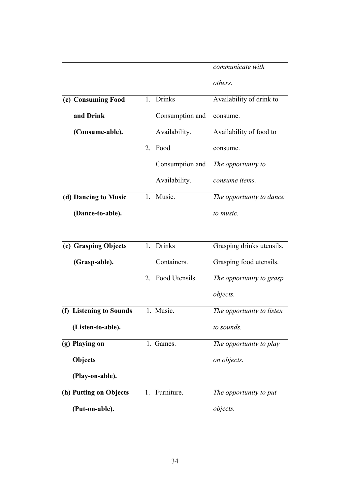|                |                         |    |                   | communicate with          |
|----------------|-------------------------|----|-------------------|---------------------------|
|                |                         |    |                   | others.                   |
|                | (c) Consuming Food      |    | 1. Drinks         | Availability of drink to  |
|                | and Drink               |    | Consumption and   | consume.                  |
|                | (Consume-able).         |    | Availability.     | Availability of food to   |
|                |                         | 2. | Food              | consume.                  |
|                |                         |    | Consumption and   | The opportunity to        |
|                |                         |    | Availability.     | consume items.            |
|                | (d) Dancing to Music    | 1. | Music.            | The opportunity to dance  |
|                | (Dance-to-able).        |    |                   | to music.                 |
|                |                         |    |                   |                           |
|                | (e) Grasping Objects    | 1. | <b>Drinks</b>     | Grasping drinks utensils. |
|                | (Grasp-able).           |    | Containers.       | Grasping food utensils.   |
|                |                         |    | 2. Food Utensils. | The opportunity to grasp  |
|                |                         |    |                   | objects.                  |
|                | (f) Listening to Sounds |    | 1. Music.         | The opportunity to listen |
|                | (Listen-to-able).       |    |                   | to sounds.                |
| (g) Playing on |                         |    | 1. Games.         | The opportunity to play   |
| Objects        |                         |    |                   | on objects.               |
|                | (Play-on-able).         |    |                   |                           |
|                | (h) Putting on Objects  | 1. | Furniture.        | The opportunity to put    |
|                | (Put-on-able).          |    |                   | objects.                  |